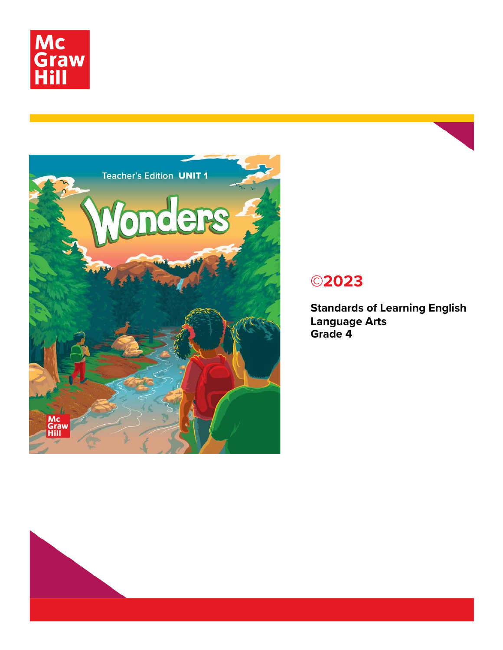



# **©2023**

**Standards of Learning English Language Arts Grade 4**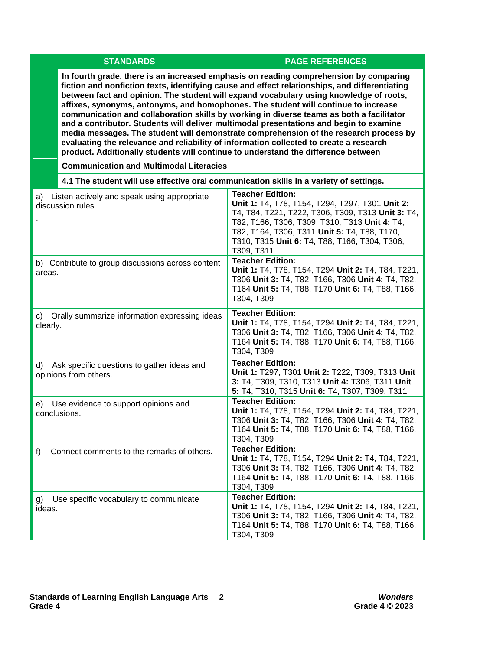### **STANDARDS PAGE REFERENCES**

**In fourth grade, there is an increased emphasis on reading comprehension by comparing fiction and nonfiction texts, identifying cause and effect relationships, and differentiating between fact and opinion. The student will expand vocabulary using knowledge of roots, affixes, synonyms, antonyms, and homophones. The student will continue to increase communication and collaboration skills by working in diverse teams as both a facilitator and a contributor. Students will deliver multimodal presentations and begin to examine media messages. The student will demonstrate comprehension of the research process by evaluating the relevance and reliability of information collected to create a research product. Additionally students will continue to understand the difference between** 

 **Communication and Multimodal Literacies**

| 4.1 The student will use effective oral communication skills in a variety of settings. |                                                                                                                                                                                                                                                                                                 |
|----------------------------------------------------------------------------------------|-------------------------------------------------------------------------------------------------------------------------------------------------------------------------------------------------------------------------------------------------------------------------------------------------|
| a) Listen actively and speak using appropriate<br>discussion rules.                    | <b>Teacher Edition:</b><br>Unit 1: T4, T78, T154, T294, T297, T301 Unit 2:<br>T4, T84, T221, T222, T306, T309, T313 Unit 3: T4,<br>T82, T166, T306, T309, T310, T313 Unit 4: T4,<br>T82, T164, T306, T311 Unit 5: T4, T88, T170,<br>T310, T315 Unit 6: T4, T88, T166, T304, T306,<br>T309, T311 |
| b) Contribute to group discussions across content<br>areas.                            | <b>Teacher Edition:</b><br>Unit 1: T4, T78, T154, T294 Unit 2: T4, T84, T221,<br>T306 Unit 3: T4, T82, T166, T306 Unit 4: T4, T82,<br>T164 Unit 5: T4, T88, T170 Unit 6: T4, T88, T166,<br>T304, T309                                                                                           |
| Orally summarize information expressing ideas<br>C)<br>clearly.                        | <b>Teacher Edition:</b><br>Unit 1: T4, T78, T154, T294 Unit 2: T4, T84, T221,<br>T306 Unit 3: T4, T82, T166, T306 Unit 4: T4, T82,<br>T164 Unit 5: T4, T88, T170 Unit 6: T4, T88, T166,<br>T304, T309                                                                                           |
| Ask specific questions to gather ideas and<br>d)<br>opinions from others.              | <b>Teacher Edition:</b><br>Unit 1: T297, T301 Unit 2: T222, T309, T313 Unit<br>3: T4, T309, T310, T313 Unit 4: T306, T311 Unit<br>5: T4, T310, T315 Unit 6: T4, T307, T309, T311                                                                                                                |
| e) Use evidence to support opinions and<br>conclusions.                                | <b>Teacher Edition:</b><br>Unit 1: T4, T78, T154, T294 Unit 2: T4, T84, T221,<br>T306 Unit 3: T4, T82, T166, T306 Unit 4: T4, T82,<br>T164 Unit 5: T4, T88, T170 Unit 6: T4, T88, T166,<br>T304, T309                                                                                           |
| Connect comments to the remarks of others.<br>f)                                       | <b>Teacher Edition:</b><br>Unit 1: T4, T78, T154, T294 Unit 2: T4, T84, T221,<br>T306 Unit 3: T4, T82, T166, T306 Unit 4: T4, T82,<br>T164 Unit 5: T4, T88, T170 Unit 6: T4, T88, T166,<br>T304, T309                                                                                           |
| Use specific vocabulary to communicate<br>g)<br>ideas.                                 | <b>Teacher Edition:</b><br>Unit 1: T4, T78, T154, T294 Unit 2: T4, T84, T221,<br>T306 Unit 3: T4, T82, T166, T306 Unit 4: T4, T82,<br>T164 Unit 5: T4, T88, T170 Unit 6: T4, T88, T166,<br>T304, T309                                                                                           |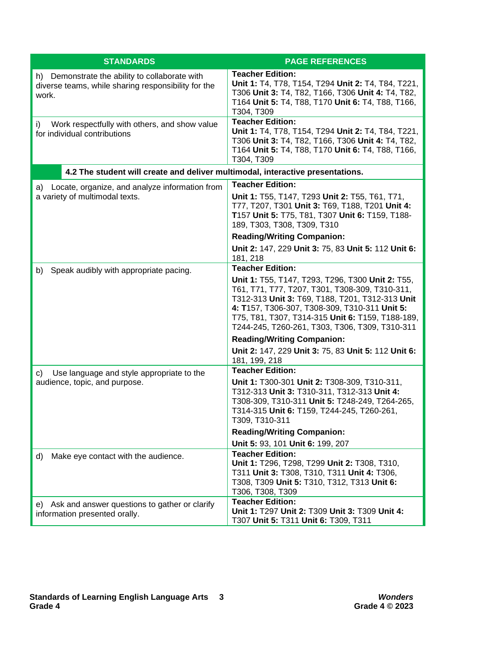| <b>STANDARDS</b>                                                                                               | <b>PAGE REFERENCES</b>                                                                                                                                                                                                                                                                                       |
|----------------------------------------------------------------------------------------------------------------|--------------------------------------------------------------------------------------------------------------------------------------------------------------------------------------------------------------------------------------------------------------------------------------------------------------|
| h) Demonstrate the ability to collaborate with<br>diverse teams, while sharing responsibility for the<br>work. | <b>Teacher Edition:</b><br>Unit 1: T4, T78, T154, T294 Unit 2: T4, T84, T221,<br>T306 Unit 3: T4, T82, T166, T306 Unit 4: T4, T82,<br>T164 Unit 5: T4, T88, T170 Unit 6: T4, T88, T166,<br>T304, T309                                                                                                        |
| Work respectfully with others, and show value<br>i)<br>for individual contributions                            | <b>Teacher Edition:</b><br>Unit 1: T4, T78, T154, T294 Unit 2: T4, T84, T221,<br>T306 Unit 3: T4, T82, T166, T306 Unit 4: T4, T82,<br>T164 Unit 5: T4, T88, T170 Unit 6: T4, T88, T166,<br>T304, T309                                                                                                        |
| 4.2 The student will create and deliver multimodal, interactive presentations.                                 |                                                                                                                                                                                                                                                                                                              |
| a) Locate, organize, and analyze information from                                                              | <b>Teacher Edition:</b>                                                                                                                                                                                                                                                                                      |
| a variety of multimodal texts.                                                                                 | Unit 1: T55, T147, T293 Unit 2: T55, T61, T71,<br>T77, T207, T301 Unit 3: T69, T188, T201 Unit 4:<br>T157 Unit 5: T75, T81, T307 Unit 6: T159, T188-<br>189, T303, T308, T309, T310                                                                                                                          |
|                                                                                                                | <b>Reading/Writing Companion:</b>                                                                                                                                                                                                                                                                            |
|                                                                                                                | Unit 2: 147, 229 Unit 3: 75, 83 Unit 5: 112 Unit 6:<br>181, 218                                                                                                                                                                                                                                              |
| Speak audibly with appropriate pacing.<br>b)                                                                   | <b>Teacher Edition:</b>                                                                                                                                                                                                                                                                                      |
|                                                                                                                | Unit 1: T55, T147, T293, T296, T300 Unit 2: T55,<br>T61, T71, T77, T207, T301, T308-309, T310-311,<br>T312-313 Unit 3: T69, T188, T201, T312-313 Unit<br>4: T157, T306-307, T308-309, T310-311 Unit 5:<br>T75, T81, T307, T314-315 Unit 6: T159, T188-189,<br>T244-245, T260-261, T303, T306, T309, T310-311 |
|                                                                                                                | <b>Reading/Writing Companion:</b>                                                                                                                                                                                                                                                                            |
|                                                                                                                | Unit 2: 147, 229 Unit 3: 75, 83 Unit 5: 112 Unit 6:<br>181, 199, 218                                                                                                                                                                                                                                         |
| Use language and style appropriate to the<br>C)                                                                | <b>Teacher Edition:</b>                                                                                                                                                                                                                                                                                      |
| audience, topic, and purpose.                                                                                  | Unit 1: T300-301 Unit 2: T308-309, T310-311,<br>T312-313 Unit 3: T310-311, T312-313 Unit 4:<br>T308-309, T310-311 Unit 5: T248-249, T264-265,<br>T314-315 Unit 6: T159, T244-245, T260-261,<br>T309, T310-311                                                                                                |
|                                                                                                                | <b>Reading/Writing Companion:</b>                                                                                                                                                                                                                                                                            |
|                                                                                                                | Unit 5: 93, 101 Unit 6: 199, 207                                                                                                                                                                                                                                                                             |
| Make eye contact with the audience.<br>d)                                                                      | <b>Teacher Edition:</b><br>Unit 1: T296, T298, T299 Unit 2: T308, T310,<br>T311 Unit 3: T308, T310, T311 Unit 4: T306,<br>T308, T309 Unit 5: T310, T312, T313 Unit 6:<br>T306, T308, T309                                                                                                                    |
| e) Ask and answer questions to gather or clarify                                                               | <b>Teacher Edition:</b>                                                                                                                                                                                                                                                                                      |
| information presented orally.                                                                                  | Unit 1: T297 Unit 2: T309 Unit 3: T309 Unit 4:<br>T307 Unit 5: T311 Unit 6: T309, T311                                                                                                                                                                                                                       |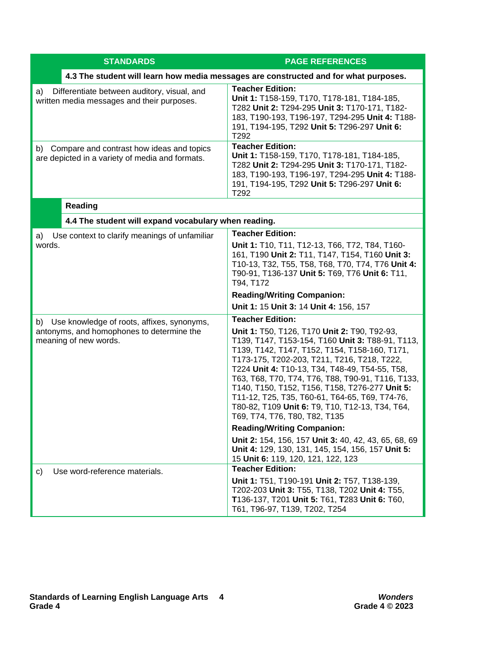| <b>STANDARDS</b>                                                                                                       | <b>PAGE REFERENCES</b>                                                                                                                                                                                                                                                                                                                                                                                                                                                                          |
|------------------------------------------------------------------------------------------------------------------------|-------------------------------------------------------------------------------------------------------------------------------------------------------------------------------------------------------------------------------------------------------------------------------------------------------------------------------------------------------------------------------------------------------------------------------------------------------------------------------------------------|
|                                                                                                                        | 4.3 The student will learn how media messages are constructed and for what purposes.                                                                                                                                                                                                                                                                                                                                                                                                            |
| Differentiate between auditory, visual, and<br>a)<br>written media messages and their purposes.                        | <b>Teacher Edition:</b><br>Unit 1: T158-159, T170, T178-181, T184-185,<br>T282 Unit 2: T294-295 Unit 3: T170-171, T182-<br>183, T190-193, T196-197, T294-295 Unit 4: T188-<br>191, T194-195, T292 Unit 5: T296-297 Unit 6:<br>T292                                                                                                                                                                                                                                                              |
| b) Compare and contrast how ideas and topics<br>are depicted in a variety of media and formats.                        | <b>Teacher Edition:</b><br>Unit 1: T158-159, T170, T178-181, T184-185,<br>T282 Unit 2: T294-295 Unit 3: T170-171, T182-<br>183, T190-193, T196-197, T294-295 Unit 4: T188-<br>191, T194-195, T292 Unit 5: T296-297 Unit 6:<br>T292                                                                                                                                                                                                                                                              |
| <b>Reading</b>                                                                                                         |                                                                                                                                                                                                                                                                                                                                                                                                                                                                                                 |
| 4.4 The student will expand vocabulary when reading.                                                                   |                                                                                                                                                                                                                                                                                                                                                                                                                                                                                                 |
| Use context to clarify meanings of unfamiliar<br>a)<br>words.                                                          | <b>Teacher Edition:</b><br>Unit 1: T10, T11, T12-13, T66, T72, T84, T160-<br>161, T190 Unit 2: T11, T147, T154, T160 Unit 3:<br>T10-13, T32, T55, T58, T68, T70, T74, T76 Unit 4:<br>T90-91, T136-137 Unit 5: T69, T76 Unit 6: T11,<br>T94, T172                                                                                                                                                                                                                                                |
|                                                                                                                        | <b>Reading/Writing Companion:</b>                                                                                                                                                                                                                                                                                                                                                                                                                                                               |
|                                                                                                                        | Unit 1: 15 Unit 3: 14 Unit 4: 156, 157<br><b>Teacher Edition:</b>                                                                                                                                                                                                                                                                                                                                                                                                                               |
| Use knowledge of roots, affixes, synonyms,<br>b)<br>antonyms, and homophones to determine the<br>meaning of new words. | Unit 1: T50, T126, T170 Unit 2: T90, T92-93,<br>T139, T147, T153-154, T160 Unit 3: T88-91, T113,<br>T139, T142, T147, T152, T154, T158-160, T171,<br>T173-175, T202-203, T211, T216, T218, T222,<br>T224 Unit 4: T10-13, T34, T48-49, T54-55, T58,<br>T63, T68, T70, T74, T76, T88, T90-91, T116, T133,<br>T140, T150, T152, T156, T158, T276-277 Unit 5:<br>T11-12, T25, T35, T60-61, T64-65, T69, T74-76,<br>T80-82, T109 Unit 6: T9, T10, T12-13, T34, T64,<br>T69, T74, T76, T80, T82, T135 |
|                                                                                                                        | <b>Reading/Writing Companion:</b>                                                                                                                                                                                                                                                                                                                                                                                                                                                               |
|                                                                                                                        | Unit 2: 154, 156, 157 Unit 3: 40, 42, 43, 65, 68, 69<br>Unit 4: 129, 130, 131, 145, 154, 156, 157 Unit 5:<br>15 Unit 6: 119, 120, 121, 122, 123                                                                                                                                                                                                                                                                                                                                                 |
| Use word-reference materials.<br>C)                                                                                    | <b>Teacher Edition:</b>                                                                                                                                                                                                                                                                                                                                                                                                                                                                         |
|                                                                                                                        | Unit 1: T51, T190-191 Unit 2: T57, T138-139,<br>T202-203 Unit 3: T55, T138, T202 Unit 4: T55,<br>T136-137, T201 Unit 5: T61, T283 Unit 6: T60,<br>T61, T96-97, T139, T202, T254                                                                                                                                                                                                                                                                                                                 |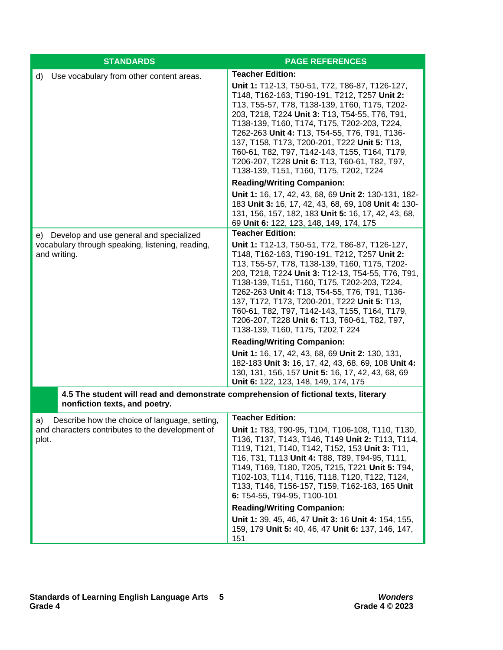| <b>STANDARDS</b>                                                                                                      | <b>PAGE REFERENCES</b>                                                                                                                                                                                                                                                                                                                                                                                                                                                                                                   |
|-----------------------------------------------------------------------------------------------------------------------|--------------------------------------------------------------------------------------------------------------------------------------------------------------------------------------------------------------------------------------------------------------------------------------------------------------------------------------------------------------------------------------------------------------------------------------------------------------------------------------------------------------------------|
| Use vocabulary from other content areas.<br>d)                                                                        | <b>Teacher Edition:</b><br>Unit 1: T12-13, T50-51, T72, T86-87, T126-127,<br>T148, T162-163, T190-191, T212, T257 Unit 2:<br>T13, T55-57, T78, T138-139, 1T60, T175, T202-<br>203, T218, T224 Unit 3: T13, T54-55, T76, T91,<br>T138-139, T160, T174, T175, T202-203, T224,<br>T262-263 Unit 4: T13, T54-55, T76, T91, T136-<br>137, T158, T173, T200-201, T222 Unit 5: T13,<br>T60-61, T82, T97, T142-143, T155, T164, T179,<br>T206-207, T228 Unit 6: T13, T60-61, T82, T97,<br>T138-139, T151, T160, T175, T202, T224 |
|                                                                                                                       | <b>Reading/Writing Companion:</b>                                                                                                                                                                                                                                                                                                                                                                                                                                                                                        |
|                                                                                                                       | Unit 1: 16, 17, 42, 43, 68, 69 Unit 2: 130-131, 182-<br>183 Unit 3: 16, 17, 42, 43, 68, 69, 108 Unit 4: 130-<br>131, 156, 157, 182, 183 Unit 5: 16, 17, 42, 43, 68,<br>69 Unit 6: 122, 123, 148, 149, 174, 175                                                                                                                                                                                                                                                                                                           |
| e) Develop and use general and specialized                                                                            | <b>Teacher Edition:</b>                                                                                                                                                                                                                                                                                                                                                                                                                                                                                                  |
| vocabulary through speaking, listening, reading,<br>and writing.                                                      | Unit 1: T12-13, T50-51, T72, T86-87, T126-127,<br>T148, T162-163, T190-191, T212, T257 Unit 2:<br>T13, T55-57, T78, T138-139, T160, T175, T202-<br>203, T218, T224 Unit 3: T12-13, T54-55, T76, T91,<br>T138-139, T151, T160, T175, T202-203, T224,<br>T262-263 Unit 4: T13, T54-55, T76, T91, T136-<br>137, T172, T173, T200-201, T222 Unit 5: T13,<br>T60-61, T82, T97, T142-143, T155, T164, T179,<br>T206-207, T228 Unit 6: T13, T60-61, T82, T97,<br>T138-139, T160, T175, T202,T 224                               |
|                                                                                                                       | <b>Reading/Writing Companion:</b>                                                                                                                                                                                                                                                                                                                                                                                                                                                                                        |
|                                                                                                                       | Unit 1: 16, 17, 42, 43, 68, 69 Unit 2: 130, 131,<br>182-183 Unit 3: 16, 17, 42, 43, 68, 69, 108 Unit 4:<br>130, 131, 156, 157 Unit 5: 16, 17, 42, 43, 68, 69<br>Unit 6: 122, 123, 148, 149, 174, 175                                                                                                                                                                                                                                                                                                                     |
| 4.5 The student will read and demonstrate comprehension of fictional texts, literary<br>nonfiction texts, and poetry. |                                                                                                                                                                                                                                                                                                                                                                                                                                                                                                                          |
| Describe how the choice of language, setting,<br>a)<br>and characters contributes to the development of<br>plot.      | <b>Teacher Edition:</b><br>Unit 1: T83, T90-95, T104, T106-108, T110, T130,<br>T136, T137, T143, T146, T149 Unit 2: T113, T114,<br>T119, T121, T140, T142, T152, 153 Unit 3: T11,<br>T16, T31, T113 Unit 4: T88, T89, T94-95, T111,<br>T149, T169, T180, T205, T215, T221 Unit 5: T94,<br>T102-103, T114, T116, T118, T120, T122, T124,<br>T133, T146, T156-157, T159, T162-163, 165 Unit<br>6: T54-55, T94-95, T100-101<br><b>Reading/Writing Companion:</b><br>Unit 1: 39, 45, 46, 47 Unit 3: 16 Unit 4: 154, 155,     |
|                                                                                                                       | 159, 179 Unit 5: 40, 46, 47 Unit 6: 137, 146, 147,<br>151                                                                                                                                                                                                                                                                                                                                                                                                                                                                |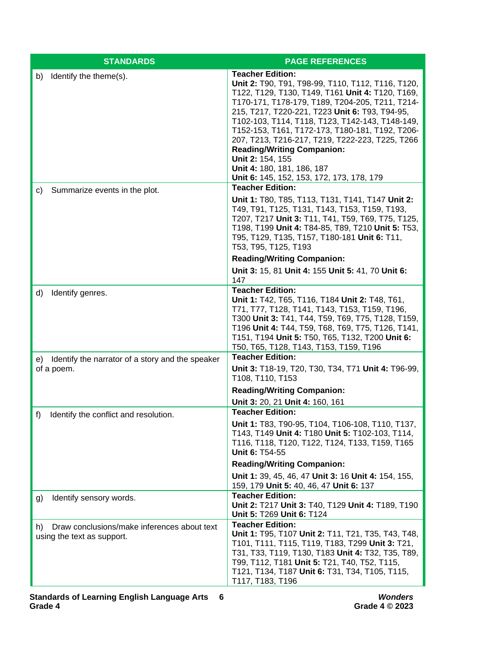| <b>STANDARDS</b>                                                                | <b>PAGE REFERENCES</b>                                                                                                                                                                                                                                                                                                                                                                                                                                                                                                             |
|---------------------------------------------------------------------------------|------------------------------------------------------------------------------------------------------------------------------------------------------------------------------------------------------------------------------------------------------------------------------------------------------------------------------------------------------------------------------------------------------------------------------------------------------------------------------------------------------------------------------------|
| Identify the theme(s).<br>b)                                                    | <b>Teacher Edition:</b><br>Unit 2: T90, T91, T98-99, T110, T112, T116, T120,<br>T122, T129, T130, T149, T161 Unit 4: T120, T169,<br>T170-171, T178-179, T189, T204-205, T211, T214-<br>215, T217, T220-221, T223 Unit 6: T93, T94-95,<br>T102-103, T114, T118, T123, T142-143, T148-149,<br>T152-153, T161, T172-173, T180-181, T192, T206-<br>207, T213, T216-217, T219, T222-223, T225, T266<br><b>Reading/Writing Companion:</b><br>Unit 2: 154, 155<br>Unit 4: 180, 181, 186, 187<br>Unit 6: 145, 152, 153, 172, 173, 178, 179 |
| Summarize events in the plot.<br>C)                                             | <b>Teacher Edition:</b><br>Unit 1: T80, T85, T113, T131, T141, T147 Unit 2:<br>T49, T91, T125, T131, T143, T153, T159, T193,<br>T207, T217 Unit 3: T11, T41, T59, T69, T75, T125,<br>T198, T199 Unit 4: T84-85, T89, T210 Unit 5: T53,<br>T95, T129, T135, T157, T180-181 Unit 6: T11,<br>T53, T95, T125, T193<br><b>Reading/Writing Companion:</b>                                                                                                                                                                                |
|                                                                                 | Unit 3: 15, 81 Unit 4: 155 Unit 5: 41, 70 Unit 6:<br>147                                                                                                                                                                                                                                                                                                                                                                                                                                                                           |
| d)<br>Identify genres.                                                          | <b>Teacher Edition:</b><br>Unit 1: T42, T65, T116, T184 Unit 2: T48, T61,<br>T71, T77, T128, T141, T143, T153, T159, T196,<br>T300 Unit 3: T41, T44, T59, T69, T75, T128, T159,<br>T196 Unit 4: T44, T59, T68, T69, T75, T126, T141,<br>T151, T194 Unit 5: T50, T65, T132, T200 Unit 6:<br>T50, T65, T128, T143, T153, T159, T196                                                                                                                                                                                                  |
| e) Identify the narrator of a story and the speaker<br>of a poem.               | <b>Teacher Edition:</b><br>Unit 3: T18-19, T20, T30, T34, T71 Unit 4: T96-99,<br>T108, T110, T153<br><b>Reading/Writing Companion:</b>                                                                                                                                                                                                                                                                                                                                                                                             |
|                                                                                 | Unit 3: 20, 21 Unit 4: 160, 161                                                                                                                                                                                                                                                                                                                                                                                                                                                                                                    |
| Identify the conflict and resolution.<br>f)                                     | <b>Teacher Edition:</b><br>Unit 1: T83, T90-95, T104, T106-108, T110, T137,<br>T143, T149 Unit 4: T180 Unit 5: T102-103, T114,<br>T116, T118, T120, T122, T124, T133, T159, T165<br>Unit 6: T54-55<br><b>Reading/Writing Companion:</b><br>Unit 1: 39, 45, 46, 47 Unit 3: 16 Unit 4: 154, 155,                                                                                                                                                                                                                                     |
|                                                                                 | 159, 179 Unit 5: 40, 46, 47 Unit 6: 137                                                                                                                                                                                                                                                                                                                                                                                                                                                                                            |
| Identify sensory words.<br>g)                                                   | <b>Teacher Edition:</b><br>Unit 2: T217 Unit 3: T40, T129 Unit 4: T189, T190<br>Unit 5: T269 Unit 6: T124                                                                                                                                                                                                                                                                                                                                                                                                                          |
| Draw conclusions/make inferences about text<br>h)<br>using the text as support. | <b>Teacher Edition:</b><br>Unit 1: T95, T107 Unit 2: T11, T21, T35, T43, T48,<br>T101, T111, T115, T119, T183, T299 Unit 3: T21,<br>T31, T33, T119, T130, T183 Unit 4: T32, T35, T89,<br>T99, T112, T181 Unit 5: T21, T40, T52, T115,<br>T121, T134, T187 Unit 6: T31, T34, T105, T115,<br>T117, T183, T196                                                                                                                                                                                                                        |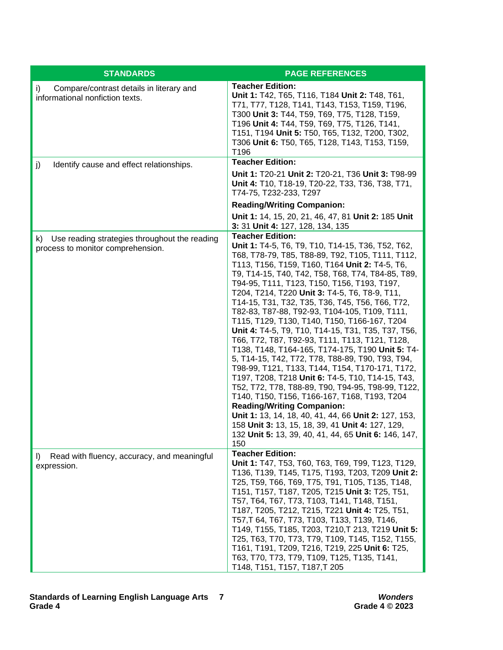| <b>STANDARDS</b>                                                                          | <b>PAGE REFERENCES</b>                                                                                                                                                                                                                                                                                                                                                                                                                                                                                                                                                                                                                                                                                                                                                                                                                                                                                                                                                                                                                                                                                                                  |
|-------------------------------------------------------------------------------------------|-----------------------------------------------------------------------------------------------------------------------------------------------------------------------------------------------------------------------------------------------------------------------------------------------------------------------------------------------------------------------------------------------------------------------------------------------------------------------------------------------------------------------------------------------------------------------------------------------------------------------------------------------------------------------------------------------------------------------------------------------------------------------------------------------------------------------------------------------------------------------------------------------------------------------------------------------------------------------------------------------------------------------------------------------------------------------------------------------------------------------------------------|
| i)<br>Compare/contrast details in literary and<br>informational nonfiction texts.         | <b>Teacher Edition:</b><br>Unit 1: T42, T65, T116, T184 Unit 2: T48, T61,<br>T71, T77, T128, T141, T143, T153, T159, T196,<br>T300 Unit 3: T44, T59, T69, T75, T128, T159,<br>T196 Unit 4: T44, T59, T69, T75, T126, T141,<br>T151, T194 Unit 5: T50, T65, T132, T200, T302,<br>T306 Unit 6: T50, T65, T128, T143, T153, T159,<br>T196                                                                                                                                                                                                                                                                                                                                                                                                                                                                                                                                                                                                                                                                                                                                                                                                  |
| Identify cause and effect relationships.<br>j)                                            | <b>Teacher Edition:</b>                                                                                                                                                                                                                                                                                                                                                                                                                                                                                                                                                                                                                                                                                                                                                                                                                                                                                                                                                                                                                                                                                                                 |
|                                                                                           | Unit 1: T20-21 Unit 2: T20-21, T36 Unit 3: T98-99<br>Unit 4: T10, T18-19, T20-22, T33, T36, T38, T71,<br>T74-75, T232-233, T297                                                                                                                                                                                                                                                                                                                                                                                                                                                                                                                                                                                                                                                                                                                                                                                                                                                                                                                                                                                                         |
|                                                                                           | <b>Reading/Writing Companion:</b>                                                                                                                                                                                                                                                                                                                                                                                                                                                                                                                                                                                                                                                                                                                                                                                                                                                                                                                                                                                                                                                                                                       |
|                                                                                           | Unit 1: 14, 15, 20, 21, 46, 47, 81 Unit 2: 185 Unit<br>3: 31 Unit 4: 127, 128, 134, 135                                                                                                                                                                                                                                                                                                                                                                                                                                                                                                                                                                                                                                                                                                                                                                                                                                                                                                                                                                                                                                                 |
| Use reading strategies throughout the reading<br>k).<br>process to monitor comprehension. | <b>Teacher Edition:</b><br>Unit 1: T4-5, T6, T9, T10, T14-15, T36, T52, T62,<br>T68, T78-79, T85, T88-89, T92, T105, T111, T112,<br>T113, T156, T159, T160, T164 Unit 2: T4-5, T6,<br>T9, T14-15, T40, T42, T58, T68, T74, T84-85, T89,<br>T94-95, T111, T123, T150, T156, T193, T197,<br>T204, T214, T220 Unit 3: T4-5, T6, T8-9, T11,<br>T14-15, T31, T32, T35, T36, T45, T56, T66, T72,<br>T82-83, T87-88, T92-93, T104-105, T109, T111,<br>T115, T129, T130, T140, T150, T166-167, T204<br>Unit 4: T4-5, T9, T10, T14-15, T31, T35, T37, T56,<br>T66, T72, T87, T92-93, T111, T113, T121, T128,<br>T138, T148, T164-165, T174-175, T190 Unit 5: T4-<br>5, T14-15, T42, T72, T78, T88-89, T90, T93, T94,<br>T98-99, T121, T133, T144, T154, T170-171, T172,<br>T197, T208, T218 Unit 6: T4-5, T10, T14-15, T43,<br>T52, T72, T78, T88-89, T90, T94-95, T98-99, T122,<br>T140, T150, T156, T166-167, T168, T193, T204<br><b>Reading/Writing Companion:</b><br>Unit 1: 13, 14, 18, 40, 41, 44, 66 Unit 2: 127, 153,<br>158 Unit 3: 13, 15, 18, 39, 41 Unit 4: 127, 129,<br>132 Unit 5: 13, 39, 40, 41, 44, 65 Unit 6: 146, 147,<br>150 |
| Read with fluency, accuracy, and meaningful<br>$\vert$<br>expression.                     | <b>Teacher Edition:</b><br>Unit 1: T47, T53, T60, T63, T69, T99, T123, T129,<br>T136, T139, T145, T175, T193, T203, T209 Unit 2:<br>T25, T59, T66, T69, T75, T91, T105, T135, T148,<br>T151, T157, T187, T205, T215 Unit 3: T25, T51,<br>T57, T64, T67, T73, T103, T141, T148, T151,<br>T187, T205, T212, T215, T221 Unit 4: T25, T51,<br>T57, T64, T67, T73, T103, T133, T139, T146,<br>T149, T155, T185, T203, T210, T213, T219 Unit 5:<br>T25, T63, T70, T73, T79, T109, T145, T152, T155,<br>T161, T191, T209, T216, T219, 225 Unit 6: T25,<br>T63, T70, T73, T79, T109, T125, T135, T141,<br>T148, T151, T157, T187, T205                                                                                                                                                                                                                                                                                                                                                                                                                                                                                                          |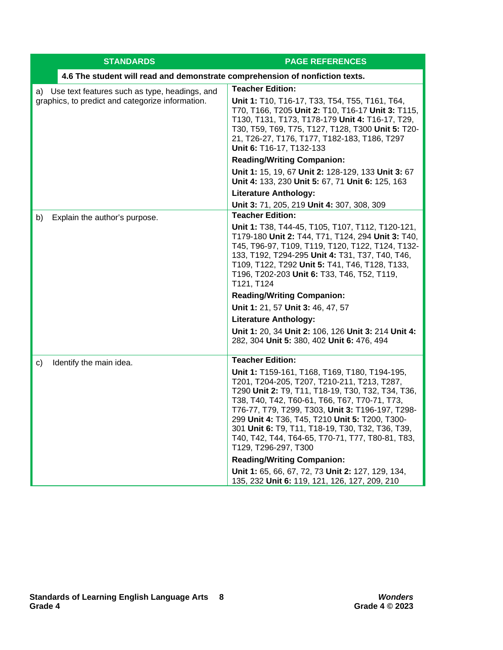| <b>STANDARDS</b>                                                                                     | <b>PAGE REFERENCES</b>                                                                                                                                                                                                                                                                                                                                                                                                                   |
|------------------------------------------------------------------------------------------------------|------------------------------------------------------------------------------------------------------------------------------------------------------------------------------------------------------------------------------------------------------------------------------------------------------------------------------------------------------------------------------------------------------------------------------------------|
| 4.6 The student will read and demonstrate comprehension of nonfiction texts.                         |                                                                                                                                                                                                                                                                                                                                                                                                                                          |
| a) Use text features such as type, headings, and<br>graphics, to predict and categorize information. | <b>Teacher Edition:</b>                                                                                                                                                                                                                                                                                                                                                                                                                  |
|                                                                                                      | Unit 1: T10, T16-17, T33, T54, T55, T161, T64,<br>T70, T166, T205 Unit 2: T10, T16-17 Unit 3: T115,<br>T130, T131, T173, T178-179 Unit 4: T16-17, T29,<br>T30, T59, T69, T75, T127, T128, T300 Unit 5: T20-<br>21, T26-27, T176, T177, T182-183, T186, T297<br>Unit 6: T16-17, T132-133                                                                                                                                                  |
|                                                                                                      | <b>Reading/Writing Companion:</b>                                                                                                                                                                                                                                                                                                                                                                                                        |
|                                                                                                      | Unit 1: 15, 19, 67 Unit 2: 128-129, 133 Unit 3: 67<br>Unit 4: 133, 230 Unit 5: 67, 71 Unit 6: 125, 163                                                                                                                                                                                                                                                                                                                                   |
|                                                                                                      | <b>Literature Anthology:</b>                                                                                                                                                                                                                                                                                                                                                                                                             |
|                                                                                                      | Unit 3: 71, 205, 219 Unit 4: 307, 308, 309                                                                                                                                                                                                                                                                                                                                                                                               |
| Explain the author's purpose.<br>b)                                                                  | <b>Teacher Edition:</b>                                                                                                                                                                                                                                                                                                                                                                                                                  |
|                                                                                                      | Unit 1: T38, T44-45, T105, T107, T112, T120-121,<br>T179-180 Unit 2: T44, T71, T124, 294 Unit 3: T40,<br>T45, T96-97, T109, T119, T120, T122, T124, T132-<br>133, T192, T294-295 Unit 4: T31, T37, T40, T46,<br>T109, T122, T292 Unit 5: T41, T46, T128, T133,<br>T196, T202-203 Unit 6: T33, T46, T52, T119,<br>T121, T124                                                                                                              |
|                                                                                                      | <b>Reading/Writing Companion:</b>                                                                                                                                                                                                                                                                                                                                                                                                        |
|                                                                                                      | Unit 1: 21, 57 Unit 3: 46, 47, 57                                                                                                                                                                                                                                                                                                                                                                                                        |
|                                                                                                      | <b>Literature Anthology:</b>                                                                                                                                                                                                                                                                                                                                                                                                             |
|                                                                                                      | Unit 1: 20, 34 Unit 2: 106, 126 Unit 3: 214 Unit 4:<br>282, 304 Unit 5: 380, 402 Unit 6: 476, 494                                                                                                                                                                                                                                                                                                                                        |
| Identify the main idea.<br>C)                                                                        | <b>Teacher Edition:</b>                                                                                                                                                                                                                                                                                                                                                                                                                  |
|                                                                                                      | Unit 1: T159-161, T168, T169, T180, T194-195,<br>T201, T204-205, T207, T210-211, T213, T287,<br>T290 Unit 2: T9, T11, T18-19, T30, T32, T34, T36,<br>T38, T40, T42, T60-61, T66, T67, T70-71, T73,<br>T76-77, T79, T299, T303, Unit 3: T196-197, T298-<br>299 Unit 4: T36, T45, T210 Unit 5: T200, T300-<br>301 Unit 6: T9, T11, T18-19, T30, T32, T36, T39,<br>T40, T42, T44, T64-65, T70-71, T77, T80-81, T83,<br>T129, T296-297, T300 |
|                                                                                                      | <b>Reading/Writing Companion:</b>                                                                                                                                                                                                                                                                                                                                                                                                        |
|                                                                                                      | Unit 1: 65, 66, 67, 72, 73 Unit 2: 127, 129, 134,<br>135, 232 Unit 6: 119, 121, 126, 127, 209, 210                                                                                                                                                                                                                                                                                                                                       |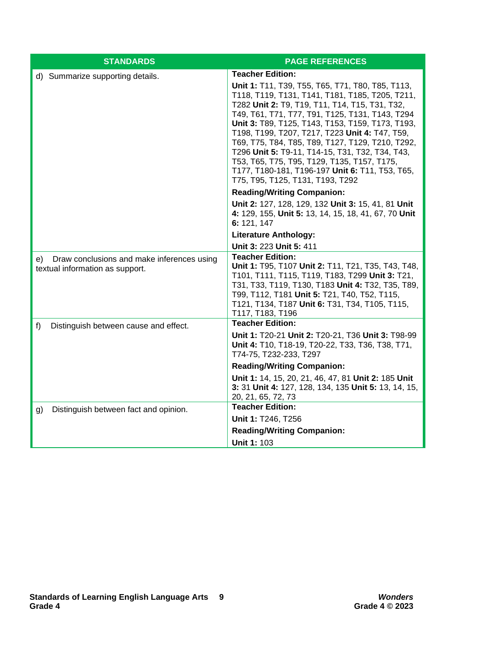| <b>STANDARDS</b>                                                                     | <b>PAGE REFERENCES</b>                                                                                                                                                                                                                                                                                                                                                                                                                                                                                                                                                                 |
|--------------------------------------------------------------------------------------|----------------------------------------------------------------------------------------------------------------------------------------------------------------------------------------------------------------------------------------------------------------------------------------------------------------------------------------------------------------------------------------------------------------------------------------------------------------------------------------------------------------------------------------------------------------------------------------|
| d) Summarize supporting details.                                                     | <b>Teacher Edition:</b><br>Unit 1: T11, T39, T55, T65, T71, T80, T85, T113,<br>T118, T119, T131, T141, T181, T185, T205, T211,<br>T282 Unit 2: T9, T19, T11, T14, T15, T31, T32,<br>T49, T61, T71, T77, T91, T125, T131, T143, T294<br>Unit 3: T89, T125, T143, T153, T159, T173, T193,<br>T198, T199, T207, T217, T223 Unit 4: T47, T59,<br>T69, T75, T84, T85, T89, T127, T129, T210, T292,<br>T296 Unit 5: T9-11, T14-15, T31, T32, T34, T43,<br>T53, T65, T75, T95, T129, T135, T157, T175,<br>T177, T180-181, T196-197 Unit 6: T11, T53, T65,<br>T75, T95, T125, T131, T193, T292 |
|                                                                                      | <b>Reading/Writing Companion:</b>                                                                                                                                                                                                                                                                                                                                                                                                                                                                                                                                                      |
|                                                                                      | Unit 2: 127, 128, 129, 132 Unit 3: 15, 41, 81 Unit<br>4: 129, 155, Unit 5: 13, 14, 15, 18, 41, 67, 70 Unit<br>6: 121, 147                                                                                                                                                                                                                                                                                                                                                                                                                                                              |
|                                                                                      | <b>Literature Anthology:</b>                                                                                                                                                                                                                                                                                                                                                                                                                                                                                                                                                           |
|                                                                                      | Unit 3: 223 Unit 5: 411                                                                                                                                                                                                                                                                                                                                                                                                                                                                                                                                                                |
| Draw conclusions and make inferences using<br>e).<br>textual information as support. | <b>Teacher Edition:</b><br>Unit 1: T95, T107 Unit 2: T11, T21, T35, T43, T48,<br>T101, T111, T115, T119, T183, T299 Unit 3: T21,<br>T31, T33, T119, T130, T183 Unit 4: T32, T35, T89,<br>T99, T112, T181 Unit 5: T21, T40, T52, T115,<br>T121, T134, T187 Unit 6: T31, T34, T105, T115,<br>T117, T183, T196                                                                                                                                                                                                                                                                            |
| f)<br>Distinguish between cause and effect.                                          | <b>Teacher Edition:</b>                                                                                                                                                                                                                                                                                                                                                                                                                                                                                                                                                                |
|                                                                                      | Unit 1: T20-21 Unit 2: T20-21, T36 Unit 3: T98-99<br>Unit 4: T10, T18-19, T20-22, T33, T36, T38, T71,<br>T74-75, T232-233, T297                                                                                                                                                                                                                                                                                                                                                                                                                                                        |
|                                                                                      | <b>Reading/Writing Companion:</b>                                                                                                                                                                                                                                                                                                                                                                                                                                                                                                                                                      |
|                                                                                      | Unit 1: 14, 15, 20, 21, 46, 47, 81 Unit 2: 185 Unit<br>3: 31 Unit 4: 127, 128, 134, 135 Unit 5: 13, 14, 15,<br>20, 21, 65, 72, 73                                                                                                                                                                                                                                                                                                                                                                                                                                                      |
| Distinguish between fact and opinion.<br>g)                                          | <b>Teacher Edition:</b>                                                                                                                                                                                                                                                                                                                                                                                                                                                                                                                                                                |
|                                                                                      | Unit 1: T246, T256                                                                                                                                                                                                                                                                                                                                                                                                                                                                                                                                                                     |
|                                                                                      | <b>Reading/Writing Companion:</b>                                                                                                                                                                                                                                                                                                                                                                                                                                                                                                                                                      |
|                                                                                      | <b>Unit 1: 103</b>                                                                                                                                                                                                                                                                                                                                                                                                                                                                                                                                                                     |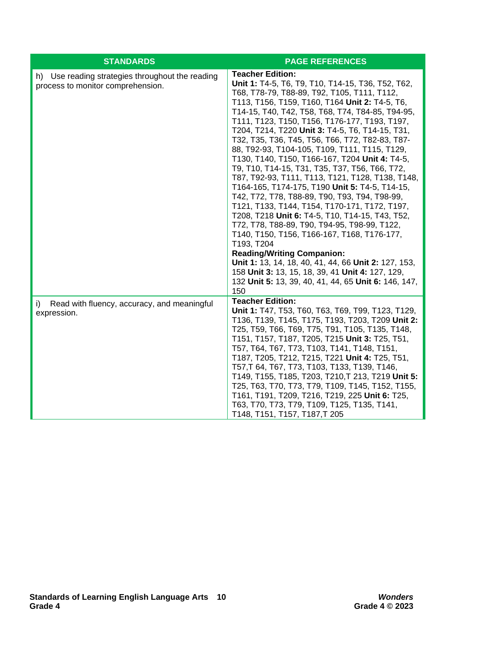| <b>STANDARDS</b>                                                                         | <b>PAGE REFERENCES</b>                                                                                                                                                                                                                                                                                                                                                                                                                                                                                                                                                                                                                                                                                                                                                                                                                                                                                                                                                                                                                                                                                                                |
|------------------------------------------------------------------------------------------|---------------------------------------------------------------------------------------------------------------------------------------------------------------------------------------------------------------------------------------------------------------------------------------------------------------------------------------------------------------------------------------------------------------------------------------------------------------------------------------------------------------------------------------------------------------------------------------------------------------------------------------------------------------------------------------------------------------------------------------------------------------------------------------------------------------------------------------------------------------------------------------------------------------------------------------------------------------------------------------------------------------------------------------------------------------------------------------------------------------------------------------|
| Use reading strategies throughout the reading<br>h)<br>process to monitor comprehension. | <b>Teacher Edition:</b><br>Unit 1: T4-5, T6, T9, T10, T14-15, T36, T52, T62,<br>T68, T78-79, T88-89, T92, T105, T111, T112,<br>T113, T156, T159, T160, T164 Unit 2: T4-5, T6,<br>T14-15, T40, T42, T58, T68, T74, T84-85, T94-95,<br>T111, T123, T150, T156, T176-177, T193, T197,<br>T204, T214, T220 Unit 3: T4-5, T6, T14-15, T31,<br>T32, T35, T36, T45, T56, T66, T72, T82-83, T87-<br>88, T92-93, T104-105, T109, T111, T115, T129,<br>T130, T140, T150, T166-167, T204 Unit 4: T4-5,<br>T9, T10, T14-15, T31, T35, T37, T56, T66, T72,<br>T87, T92-93, T111, T113, T121, T128, T138, T148,<br>T164-165, T174-175, T190 Unit 5: T4-5, T14-15,<br>T42, T72, T78, T88-89, T90, T93, T94, T98-99,<br>T121, T133, T144, T154, T170-171, T172, T197,<br>T208, T218 Unit 6: T4-5, T10, T14-15, T43, T52,<br>T72, T78, T88-89, T90, T94-95, T98-99, T122,<br>T140, T150, T156, T166-167, T168, T176-177,<br>T193, T204<br><b>Reading/Writing Companion:</b><br>Unit 1: 13, 14, 18, 40, 41, 44, 66 Unit 2: 127, 153,<br>158 Unit 3: 13, 15, 18, 39, 41 Unit 4: 127, 129,<br>132 Unit 5: 13, 39, 40, 41, 44, 65 Unit 6: 146, 147,<br>150 |
| Read with fluency, accuracy, and meaningful<br>i)<br>expression.                         | <b>Teacher Edition:</b><br>Unit 1: T47, T53, T60, T63, T69, T99, T123, T129,<br>T136, T139, T145, T175, T193, T203, T209 Unit 2:<br>T25, T59, T66, T69, T75, T91, T105, T135, T148,<br>T151, T157, T187, T205, T215 Unit 3: T25, T51,<br>T57, T64, T67, T73, T103, T141, T148, T151,<br>T187, T205, T212, T215, T221 Unit 4: T25, T51,<br>T57, T64, T67, T73, T103, T133, T139, T146,<br>T149, T155, T185, T203, T210, T213, T219 Unit 5:<br>T25, T63, T70, T73, T79, T109, T145, T152, T155,<br>T161, T191, T209, T216, T219, 225 Unit 6: T25,<br>T63, T70, T73, T79, T109, T125, T135, T141,<br>T148, T151, T157, T187, T205                                                                                                                                                                                                                                                                                                                                                                                                                                                                                                        |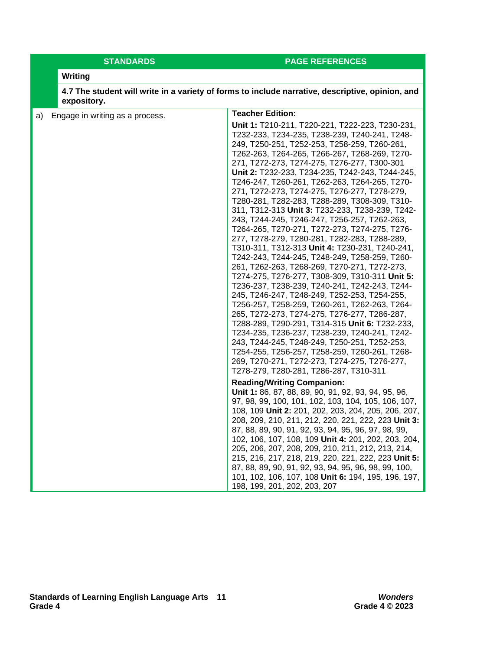## **STANDARDS PAGE REFERENCES**

### **Writing**

**4.7 The student will write in a variety of forms to include narrative, descriptive, opinion, and expository.**

| a)                              | <b>Teacher Edition:</b>                                                                                                                                                                                                                                                                                                                                                                                                                                                                                                                                                                                                                                                                                                                                                                                                                                                                                                                                                                                                                                                                                                                                                                                                                                                                                              |
|---------------------------------|----------------------------------------------------------------------------------------------------------------------------------------------------------------------------------------------------------------------------------------------------------------------------------------------------------------------------------------------------------------------------------------------------------------------------------------------------------------------------------------------------------------------------------------------------------------------------------------------------------------------------------------------------------------------------------------------------------------------------------------------------------------------------------------------------------------------------------------------------------------------------------------------------------------------------------------------------------------------------------------------------------------------------------------------------------------------------------------------------------------------------------------------------------------------------------------------------------------------------------------------------------------------------------------------------------------------|
| Engage in writing as a process. | Unit 1: T210-211, T220-221, T222-223, T230-231,<br>T232-233, T234-235, T238-239, T240-241, T248-<br>249, T250-251, T252-253, T258-259, T260-261,<br>T262-263, T264-265, T266-267, T268-269, T270-<br>271, T272-273, T274-275, T276-277, T300-301<br>Unit 2: T232-233, T234-235, T242-243, T244-245,<br>T246-247, T260-261, T262-263, T264-265, T270-<br>271, T272-273, T274-275, T276-277, T278-279,<br>T280-281, T282-283, T288-289, T308-309, T310-<br>311, T312-313 Unit 3: T232-233, T238-239, T242-<br>243, T244-245, T246-247, T256-257, T262-263,<br>T264-265, T270-271, T272-273, T274-275, T276-<br>277, T278-279, T280-281, T282-283, T288-289,<br>T310-311, T312-313 Unit 4: T230-231, T240-241,<br>T242-243, T244-245, T248-249, T258-259, T260-<br>261, T262-263, T268-269, T270-271, T272-273,<br>T274-275, T276-277, T308-309, T310-311 Unit 5:<br>T236-237, T238-239, T240-241, T242-243, T244-<br>245, T246-247, T248-249, T252-253, T254-255,<br>T256-257, T258-259, T260-261, T262-263, T264-<br>265, T272-273, T274-275, T276-277, T286-287,<br>T288-289, T290-291, T314-315 Unit 6: T232-233,<br>T234-235, T236-237, T238-239, T240-241, T242-<br>243, T244-245, T248-249, T250-251, T252-253,<br>T254-255, T256-257, T258-259, T260-261, T268-<br>269, T270-271, T272-273, T274-275, T276-277, |
|                                 | T278-279, T280-281, T286-287, T310-311                                                                                                                                                                                                                                                                                                                                                                                                                                                                                                                                                                                                                                                                                                                                                                                                                                                                                                                                                                                                                                                                                                                                                                                                                                                                               |
|                                 | <b>Reading/Writing Companion:</b><br>Unit 1: 86, 87, 88, 89, 90, 91, 92, 93, 94, 95, 96,<br>97, 98, 99, 100, 101, 102, 103, 104, 105, 106, 107,<br>108, 109 Unit 2: 201, 202, 203, 204, 205, 206, 207,<br>208, 209, 210, 211, 212, 220, 221, 222, 223 Unit 3:<br>87, 88, 89, 90, 91, 92, 93, 94, 95, 96, 97, 98, 99,<br>102, 106, 107, 108, 109 Unit 4: 201, 202, 203, 204,<br>205, 206, 207, 208, 209, 210, 211, 212, 213, 214,<br>215, 216, 217, 218, 219, 220, 221, 222, 223 Unit 5:<br>87, 88, 89, 90, 91, 92, 93, 94, 95, 96, 98, 99, 100,<br>101, 102, 106, 107, 108 Unit 6: 194, 195, 196, 197,<br>198, 199, 201, 202, 203, 207                                                                                                                                                                                                                                                                                                                                                                                                                                                                                                                                                                                                                                                                               |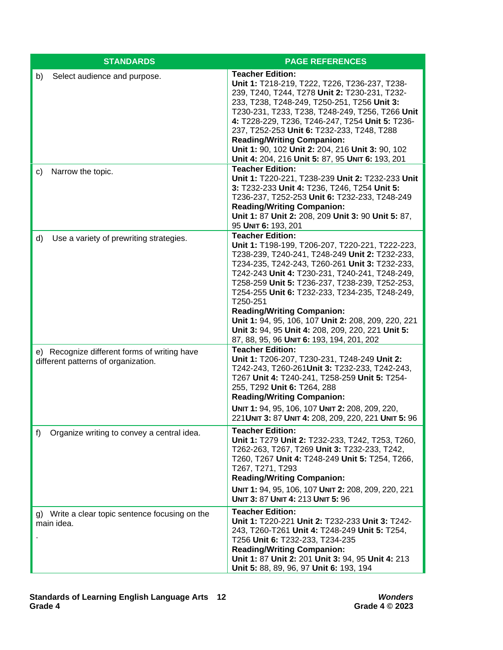| <b>STANDARDS</b>                                                                    | <b>PAGE REFERENCES</b>                                                                                                                                                                                                                                                                                                                                                                                                                                                                                                                         |
|-------------------------------------------------------------------------------------|------------------------------------------------------------------------------------------------------------------------------------------------------------------------------------------------------------------------------------------------------------------------------------------------------------------------------------------------------------------------------------------------------------------------------------------------------------------------------------------------------------------------------------------------|
| Select audience and purpose.<br>b)                                                  | <b>Teacher Edition:</b><br>Unit 1: T218-219, T222, T226, T236-237, T238-<br>239, T240, T244, T278 Unit 2: T230-231, T232-<br>233, T238, T248-249, T250-251, T256 Unit 3:<br>T230-231, T233, T238, T248-249, T256, T266 Unit<br>4: T228-229, T236, T246-247, T254 Unit 5: T236-<br>237, T252-253 Unit 6: T232-233, T248, T288<br><b>Reading/Writing Companion:</b><br>Unit 1: 90, 102 Unit 2: 204, 216 Unit 3: 90, 102<br>Unit 4: 204, 216 Unit 5: 87, 95 UNIT 6: 193, 201                                                                      |
| Narrow the topic.<br>C)                                                             | <b>Teacher Edition:</b><br>Unit 1: T220-221, T238-239 Unit 2: T232-233 Unit<br>3: T232-233 Unit 4: T236, T246, T254 Unit 5:<br>T236-237, T252-253 Unit 6: T232-233, T248-249<br><b>Reading/Writing Companion:</b><br>Unit 1: 87 Unit 2: 208, 209 Unit 3: 90 Unit 5: 87,<br>95 UNIT 6: 193, 201                                                                                                                                                                                                                                                 |
| Use a variety of prewriting strategies.<br>d)                                       | <b>Teacher Edition:</b><br>Unit 1: T198-199, T206-207, T220-221, T222-223,<br>T238-239, T240-241, T248-249 Unit 2: T232-233,<br>T234-235, T242-243, T260-261 Unit 3: T232-233,<br>T242-243 Unit 4: T230-231, T240-241, T248-249,<br>T258-259 Unit 5: T236-237, T238-239, T252-253,<br>T254-255 Unit 6: T232-233, T234-235, T248-249,<br>T250-251<br><b>Reading/Writing Companion:</b><br>Unit 1: 94, 95, 106, 107 Unit 2: 208, 209, 220, 221<br>Unit 3: 94, 95 Unit 4: 208, 209, 220, 221 Unit 5:<br>87, 88, 95, 96 UNIT 6: 193, 194, 201, 202 |
| e) Recognize different forms of writing have<br>different patterns of organization. | <b>Teacher Edition:</b><br>Unit 1: T206-207, T230-231, T248-249 Unit 2:<br>T242-243, T260-261Unit 3: T232-233, T242-243,<br>T267 Unit 4: T240-241, T258-259 Unit 5: T254-<br>255, T292 Unit 6: T264, 288<br><b>Reading/Writing Companion:</b><br>UNIT 1: 94, 95, 106, 107 UNIT 2: 208, 209, 220,<br>221 UNIT 3: 87 UNIT 4: 208, 209, 220, 221 UNIT 5: 96                                                                                                                                                                                       |
| Organize writing to convey a central idea.<br>f)                                    | <b>Teacher Edition:</b><br>Unit 1: T279 Unit 2: T232-233, T242, T253, T260,<br>T262-263, T267, T269 Unit 3: T232-233, T242,<br>T260, T267 Unit 4: T248-249 Unit 5: T254, T266,<br>T267, T271, T293<br><b>Reading/Writing Companion:</b><br>UNIT 1: 94, 95, 106, 107 UNIT 2: 208, 209, 220, 221<br>UNIT 3: 87 UNIT 4: 213 UNIT 5: 96                                                                                                                                                                                                            |
| g) Write a clear topic sentence focusing on the<br>main idea.                       | <b>Teacher Edition:</b><br>Unit 1: T220-221 Unit 2: T232-233 Unit 3: T242-<br>243, T260-T261 Unit 4: T248-249 Unit 5: T254,<br>T256 Unit 6: T232-233, T234-235<br><b>Reading/Writing Companion:</b><br>Unit 1: 87 Unit 2: 201 Unit 3: 94, 95 Unit 4: 213<br>Unit 5: 88, 89, 96, 97 Unit 6: 193, 194                                                                                                                                                                                                                                            |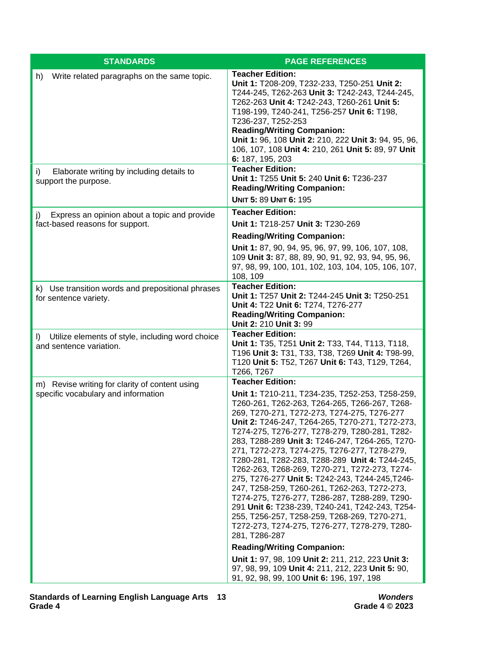| <b>STANDARDS</b>                                                                      | <b>PAGE REFERENCES</b>                                                                                                                                                                                                                                                                                                                                                                                                                                                                                                                                                                                                                                                                                                                                                                                                                             |
|---------------------------------------------------------------------------------------|----------------------------------------------------------------------------------------------------------------------------------------------------------------------------------------------------------------------------------------------------------------------------------------------------------------------------------------------------------------------------------------------------------------------------------------------------------------------------------------------------------------------------------------------------------------------------------------------------------------------------------------------------------------------------------------------------------------------------------------------------------------------------------------------------------------------------------------------------|
| Write related paragraphs on the same topic.<br>h)                                     | <b>Teacher Edition:</b><br>Unit 1: T208-209, T232-233, T250-251 Unit 2:<br>T244-245, T262-263 Unit 3: T242-243, T244-245,<br>T262-263 Unit 4: T242-243, T260-261 Unit 5:<br>T198-199, T240-241, T256-257 Unit 6: T198,<br>T236-237, T252-253<br><b>Reading/Writing Companion:</b><br>Unit 1: 96, 108 Unit 2: 210, 222 Unit 3: 94, 95, 96,<br>106, 107, 108 Unit 4: 210, 261 Unit 5: 89, 97 Unit<br>6: 187, 195, 203                                                                                                                                                                                                                                                                                                                                                                                                                                |
| Elaborate writing by including details to<br>i)<br>support the purpose.               | <b>Teacher Edition:</b><br>Unit 1: T255 Unit 5: 240 Unit 6: T236-237<br><b>Reading/Writing Companion:</b><br><b>UNIT 5: 89 UNIT 6: 195</b>                                                                                                                                                                                                                                                                                                                                                                                                                                                                                                                                                                                                                                                                                                         |
| Express an opinion about a topic and provide<br>j)<br>fact-based reasons for support. | <b>Teacher Edition:</b><br>Unit 1: T218-257 Unit 3: T230-269<br><b>Reading/Writing Companion:</b><br>Unit 1: 87, 90, 94, 95, 96, 97, 99, 106, 107, 108,<br>109 Unit 3: 87, 88, 89, 90, 91, 92, 93, 94, 95, 96,<br>97, 98, 99, 100, 101, 102, 103, 104, 105, 106, 107,<br>108, 109                                                                                                                                                                                                                                                                                                                                                                                                                                                                                                                                                                  |
| k) Use transition words and prepositional phrases<br>for sentence variety.            | <b>Teacher Edition:</b><br>Unit 1: T257 Unit 2: T244-245 Unit 3: T250-251<br>Unit 4: T22 Unit 6: T274, T276-277<br><b>Reading/Writing Companion:</b><br>Unit 2: 210 Unit 3: 99                                                                                                                                                                                                                                                                                                                                                                                                                                                                                                                                                                                                                                                                     |
| I) Utilize elements of style, including word choice<br>and sentence variation.        | <b>Teacher Edition:</b><br>Unit 1: T35, T251 Unit 2: T33, T44, T113, T118,<br>T196 Unit 3: T31, T33, T38, T269 Unit 4: T98-99,<br>T120 Unit 5: T52, T267 Unit 6: T43, T129, T264,<br>T266, T267                                                                                                                                                                                                                                                                                                                                                                                                                                                                                                                                                                                                                                                    |
| m) Revise writing for clarity of content using<br>specific vocabulary and information | <b>Teacher Edition:</b><br>Unit 1: T210-211, T234-235, T252-253, T258-259,<br>T260-261, T262-263, T264-265, T266-267, T268-<br>269, T270-271, T272-273, T274-275, T276-277<br>Unit 2: T246-247, T264-265, T270-271, T272-273,<br>T274-275, T276-277, T278-279, T280-281, T282-<br>283, T288-289 Unit 3: T246-247, T264-265, T270-<br>271, T272-273, T274-275, T276-277, T278-279,<br>T280-281, T282-283, T288-289 Unit 4: T244-245,<br>T262-263, T268-269, T270-271, T272-273, T274-<br>275, T276-277 Unit 5: T242-243, T244-245, T246-<br>247, T258-259, T260-261, T262-263, T272-273,<br>T274-275, T276-277, T286-287, T288-289, T290-<br>291 Unit 6: T238-239, T240-241, T242-243, T254-<br>255, T256-257, T258-259, T268-269, T270-271,<br>T272-273, T274-275, T276-277, T278-279, T280-<br>281, T286-287<br><b>Reading/Writing Companion:</b> |
|                                                                                       | Unit 1: 97, 98, 109 Unit 2: 211, 212, 223 Unit 3:<br>97, 98, 99, 109 Unit 4: 211, 212, 223 Unit 5: 90,<br>91, 92, 98, 99, 100 Unit 6: 196, 197, 198                                                                                                                                                                                                                                                                                                                                                                                                                                                                                                                                                                                                                                                                                                |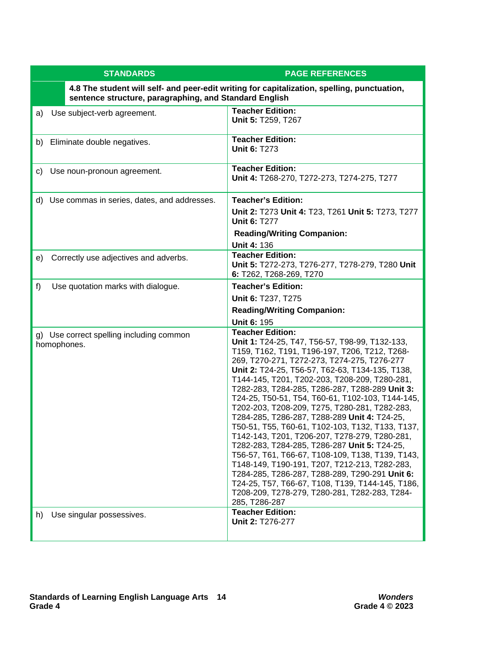| <b>STANDARDS</b>                                                                                                                                      | <b>PAGE REFERENCES</b>                                                                                                                                                                                                                                                                                                                                                                                                                                                                                                                                                                                                                                                                                                                                                                                                                                                                                                 |  |
|-------------------------------------------------------------------------------------------------------------------------------------------------------|------------------------------------------------------------------------------------------------------------------------------------------------------------------------------------------------------------------------------------------------------------------------------------------------------------------------------------------------------------------------------------------------------------------------------------------------------------------------------------------------------------------------------------------------------------------------------------------------------------------------------------------------------------------------------------------------------------------------------------------------------------------------------------------------------------------------------------------------------------------------------------------------------------------------|--|
| 4.8 The student will self- and peer-edit writing for capitalization, spelling, punctuation,<br>sentence structure, paragraphing, and Standard English |                                                                                                                                                                                                                                                                                                                                                                                                                                                                                                                                                                                                                                                                                                                                                                                                                                                                                                                        |  |
| Use subject-verb agreement.<br>a)                                                                                                                     | <b>Teacher Edition:</b><br>Unit 5: T259, T267                                                                                                                                                                                                                                                                                                                                                                                                                                                                                                                                                                                                                                                                                                                                                                                                                                                                          |  |
| b) Eliminate double negatives.                                                                                                                        | <b>Teacher Edition:</b><br><b>Unit 6: T273</b>                                                                                                                                                                                                                                                                                                                                                                                                                                                                                                                                                                                                                                                                                                                                                                                                                                                                         |  |
| Use noun-pronoun agreement.<br>C)                                                                                                                     | <b>Teacher Edition:</b><br>Unit 4: T268-270, T272-273, T274-275, T277                                                                                                                                                                                                                                                                                                                                                                                                                                                                                                                                                                                                                                                                                                                                                                                                                                                  |  |
| d) Use commas in series, dates, and addresses.                                                                                                        | <b>Teacher's Edition:</b>                                                                                                                                                                                                                                                                                                                                                                                                                                                                                                                                                                                                                                                                                                                                                                                                                                                                                              |  |
|                                                                                                                                                       | Unit 2: T273 Unit 4: T23, T261 Unit 5: T273, T277<br><b>Unit 6: T277</b>                                                                                                                                                                                                                                                                                                                                                                                                                                                                                                                                                                                                                                                                                                                                                                                                                                               |  |
|                                                                                                                                                       | <b>Reading/Writing Companion:</b>                                                                                                                                                                                                                                                                                                                                                                                                                                                                                                                                                                                                                                                                                                                                                                                                                                                                                      |  |
|                                                                                                                                                       | <b>Unit 4: 136</b><br><b>Teacher Edition:</b>                                                                                                                                                                                                                                                                                                                                                                                                                                                                                                                                                                                                                                                                                                                                                                                                                                                                          |  |
| Correctly use adjectives and adverbs.<br>e)                                                                                                           | Unit 5: T272-273, T276-277, T278-279, T280 Unit<br>6: T262, T268-269, T270                                                                                                                                                                                                                                                                                                                                                                                                                                                                                                                                                                                                                                                                                                                                                                                                                                             |  |
| f)<br>Use quotation marks with dialogue.                                                                                                              | <b>Teacher's Edition:</b>                                                                                                                                                                                                                                                                                                                                                                                                                                                                                                                                                                                                                                                                                                                                                                                                                                                                                              |  |
|                                                                                                                                                       | Unit 6: T237, T275                                                                                                                                                                                                                                                                                                                                                                                                                                                                                                                                                                                                                                                                                                                                                                                                                                                                                                     |  |
|                                                                                                                                                       | <b>Reading/Writing Companion:</b>                                                                                                                                                                                                                                                                                                                                                                                                                                                                                                                                                                                                                                                                                                                                                                                                                                                                                      |  |
|                                                                                                                                                       | <b>Unit 6: 195</b>                                                                                                                                                                                                                                                                                                                                                                                                                                                                                                                                                                                                                                                                                                                                                                                                                                                                                                     |  |
| g) Use correct spelling including common<br>homophones.                                                                                               | <b>Teacher Edition:</b><br>Unit 1: T24-25, T47, T56-57, T98-99, T132-133,<br>T159, T162, T191, T196-197, T206, T212, T268-<br>269, T270-271, T272-273, T274-275, T276-277<br>Unit 2: T24-25, T56-57, T62-63, T134-135, T138,<br>T144-145, T201, T202-203, T208-209, T280-281,<br>T282-283, T284-285, T286-287, T288-289 Unit 3:<br>T24-25, T50-51, T54, T60-61, T102-103, T144-145,<br>T202-203, T208-209, T275, T280-281, T282-283,<br>T284-285, T286-287, T288-289 Unit 4: T24-25,<br>T50-51, T55, T60-61, T102-103, T132, T133, T137,<br>T142-143, T201, T206-207, T278-279, T280-281,<br>T282-283, T284-285, T286-287 Unit 5: T24-25,<br>T56-57, T61, T66-67, T108-109, T138, T139, T143,<br>T148-149, T190-191, T207, T212-213, T282-283,<br>T284-285, T286-287, T288-289, T290-291 Unit 6:<br>T24-25, T57, T66-67, T108, T139, T144-145, T186,<br>T208-209, T278-279, T280-281, T282-283, T284-<br>285, T286-287 |  |
| Use singular possessives.<br>h)                                                                                                                       | <b>Teacher Edition:</b><br>Unit 2: T276-277                                                                                                                                                                                                                                                                                                                                                                                                                                                                                                                                                                                                                                                                                                                                                                                                                                                                            |  |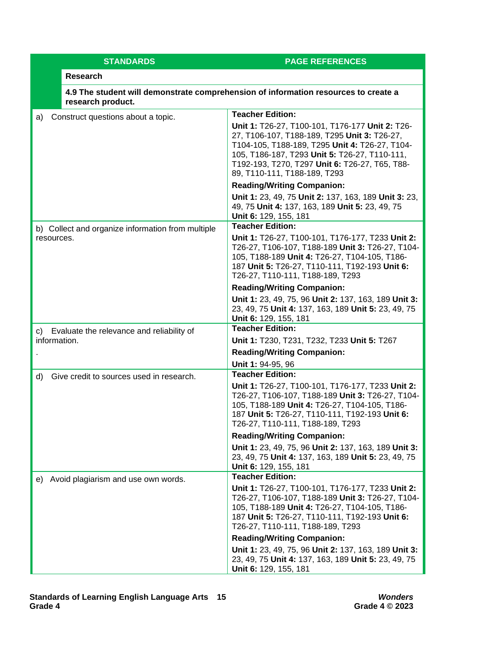| <b>STANDARDS</b>                                  | <b>PAGE REFERENCES</b>                                                                                                                                                                                                                                                               |
|---------------------------------------------------|--------------------------------------------------------------------------------------------------------------------------------------------------------------------------------------------------------------------------------------------------------------------------------------|
| <b>Research</b>                                   |                                                                                                                                                                                                                                                                                      |
| research product.                                 | 4.9 The student will demonstrate comprehension of information resources to create a                                                                                                                                                                                                  |
| Construct questions about a topic.<br>a)          | <b>Teacher Edition:</b>                                                                                                                                                                                                                                                              |
|                                                   | Unit 1: T26-27, T100-101, T176-177 Unit 2: T26-<br>27, T106-107, T188-189, T295 Unit 3: T26-27,<br>T104-105, T188-189, T295 Unit 4: T26-27, T104-<br>105, T186-187, T293 Unit 5: T26-27, T110-111,<br>T192-193, T270, T297 Unit 6: T26-27, T65, T88-<br>89, T110-111, T188-189, T293 |
|                                                   | <b>Reading/Writing Companion:</b>                                                                                                                                                                                                                                                    |
|                                                   | Unit 1: 23, 49, 75 Unit 2: 137, 163, 189 Unit 3: 23,<br>49, 75 Unit 4: 137, 163, 189 Unit 5: 23, 49, 75<br>Unit 6: 129, 155, 181                                                                                                                                                     |
| b) Collect and organize information from multiple | <b>Teacher Edition:</b>                                                                                                                                                                                                                                                              |
| resources.                                        | Unit 1: T26-27, T100-101, T176-177, T233 Unit 2:<br>T26-27, T106-107, T188-189 Unit 3: T26-27, T104-<br>105, T188-189 Unit 4: T26-27, T104-105, T186-<br>187 Unit 5: T26-27, T110-111, T192-193 Unit 6:<br>T26-27, T110-111, T188-189, T293                                          |
|                                                   | <b>Reading/Writing Companion:</b>                                                                                                                                                                                                                                                    |
|                                                   | Unit 1: 23, 49, 75, 96 Unit 2: 137, 163, 189 Unit 3:<br>23, 49, 75 Unit 4: 137, 163, 189 Unit 5: 23, 49, 75<br>Unit 6: 129, 155, 181                                                                                                                                                 |
| Evaluate the relevance and reliability of<br>C)   | <b>Teacher Edition:</b>                                                                                                                                                                                                                                                              |
| information.                                      | Unit 1: T230, T231, T232, T233 Unit 5: T267                                                                                                                                                                                                                                          |
|                                                   | <b>Reading/Writing Companion:</b>                                                                                                                                                                                                                                                    |
|                                                   | Unit 1: 94-95, 96<br><b>Teacher Edition:</b>                                                                                                                                                                                                                                         |
| Give credit to sources used in research.<br>d)    | Unit 1: T26-27, T100-101, T176-177, T233 Unit 2:<br>T26-27, T106-107, T188-189 Unit 3: T26-27, T104-<br>105, T188-189 Unit 4: T26-27, T104-105, T186-<br>187 Unit 5: T26-27, T110-111, T192-193 Unit 6:<br>T26-27, T110-111, T188-189, T293                                          |
|                                                   | <b>Reading/Writing Companion:</b>                                                                                                                                                                                                                                                    |
|                                                   | Unit 1: 23, 49, 75, 96 Unit 2: 137, 163, 189 Unit 3:<br>23, 49, 75 Unit 4: 137, 163, 189 Unit 5: 23, 49, 75<br>Unit 6: 129, 155, 181                                                                                                                                                 |
| e) Avoid plagiarism and use own words.            | <b>Teacher Edition:</b>                                                                                                                                                                                                                                                              |
|                                                   | Unit 1: T26-27, T100-101, T176-177, T233 Unit 2:<br>T26-27, T106-107, T188-189 Unit 3: T26-27, T104-<br>105, T188-189 Unit 4: T26-27, T104-105, T186-<br>187 Unit 5: T26-27, T110-111, T192-193 Unit 6:<br>T26-27, T110-111, T188-189, T293                                          |
|                                                   | <b>Reading/Writing Companion:</b>                                                                                                                                                                                                                                                    |
|                                                   | Unit 1: 23, 49, 75, 96 Unit 2: 137, 163, 189 Unit 3:<br>23, 49, 75 Unit 4: 137, 163, 189 Unit 5: 23, 49, 75<br>Unit 6: 129, 155, 181                                                                                                                                                 |